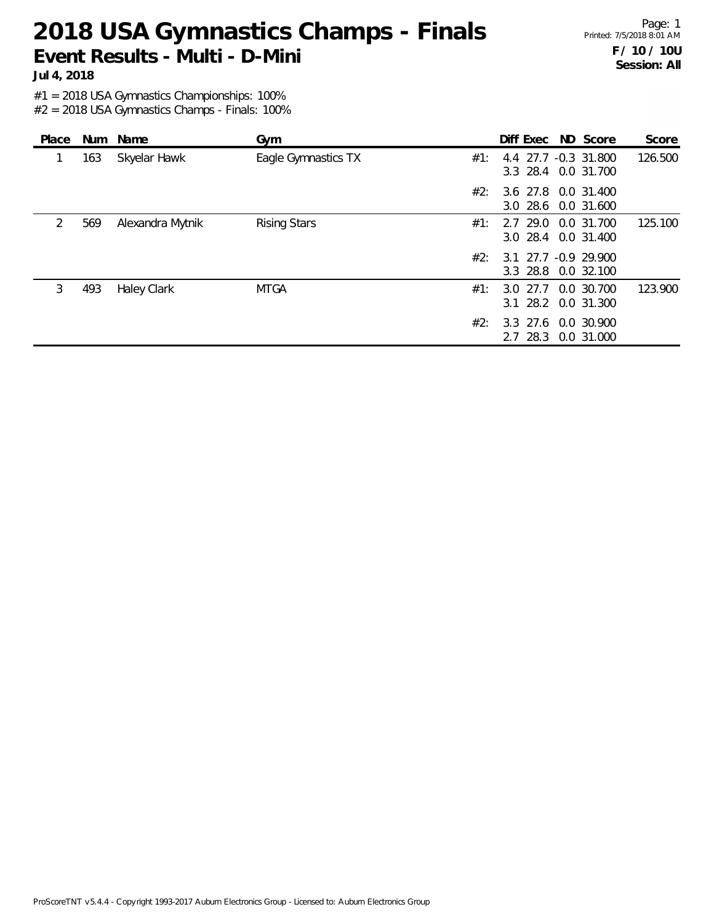Page: 1 Printed: 7/5/2018 8:01 AM **F / 10 / 10U Session: All**

**Jul 4, 2018**

#1 = 2018 USA Gymnastics Championships: 100%

| Place         | Num | Name               | Gym                 |     | Diff Exec ND Score                          |                          | Score   |
|---------------|-----|--------------------|---------------------|-----|---------------------------------------------|--------------------------|---------|
|               | 163 | Skyelar Hawk       | Eagle Gymnastics TX | #1: | 4.4<br>3.3 28.4 0.0 31.700                  | 27.7 -0.3 31.800         | 126.500 |
|               |     |                    |                     | #2: | 3.6 27.8 0.0 31.400<br>3.0 28.6 0.0 31.600  |                          |         |
| $\mathcal{P}$ | 569 | Alexandra Mytnik   | <b>Rising Stars</b> | #1: | 2.7 29.0<br>3.0 28.4 0.0 31.400             | 0.0 31.700               | 125.100 |
|               |     |                    |                     | #2: | 3.1 27.7 -0.9 29.900<br>3.3 28.8 0.0 32.100 |                          |         |
| 3             | 493 | <b>Haley Clark</b> | <b>MTGA</b>         | #1: | 3.0 27.7<br>3.1 28.2 0.0 31.300             | 0.0 30.700               | 123.900 |
|               |     |                    |                     | #2: | 3.3 27.6<br>2.7 28.3                        | 0.0 30.900<br>0.0 31.000 |         |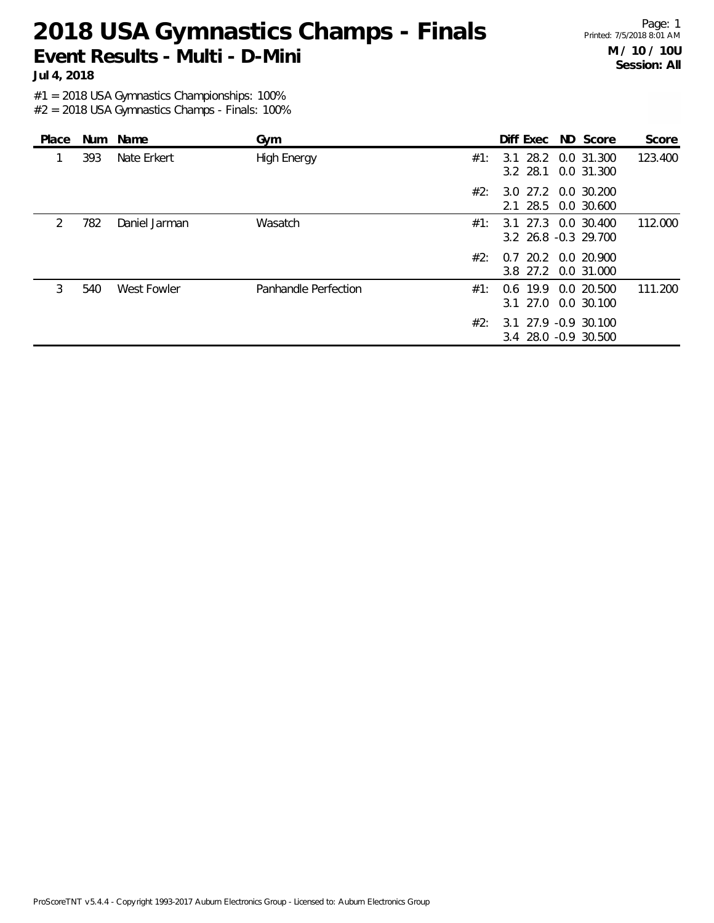Page: 1 Printed: 7/5/2018 8:01 AM **M / 10 / 10U Session: All**

**Jul 4, 2018**

#1 = 2018 USA Gymnastics Championships: 100%

| Place         |     | Num Name      | Gym                  |     | Diff Exec ND Score                           |            | Score   |
|---------------|-----|---------------|----------------------|-----|----------------------------------------------|------------|---------|
|               | 393 | Nate Erkert   | <b>High Energy</b>   | #1: | 3.1 28.2 0.0 31.300<br>3.2 28.1 0.0 31.300   |            | 123.400 |
|               |     |               |                      | #2: | 3.0 27.2 0.0 30.200<br>2.1 28.5 0.0 30.600   |            |         |
| $\mathcal{P}$ | 782 | Daniel Jarman | Wasatch              | #1: | 3.1 27.3 0.0 30.400<br>3.2 26.8 -0.3 29.700  |            | 112.000 |
|               |     |               |                      | #2: | 0.7 20.2 0.0 20.900<br>3.8 27.2 0.0 31.000   |            |         |
| 3             | 540 | West Fowler   | Panhandle Perfection | #1: | $0.6$ 19.9<br>3.1 27.0 0.0 30.100            | 0.0 20.500 | 111.200 |
|               |     |               |                      | #2∵ | 3.1 27.9 -0.9 30.100<br>3.4 28.0 -0.9 30.500 |            |         |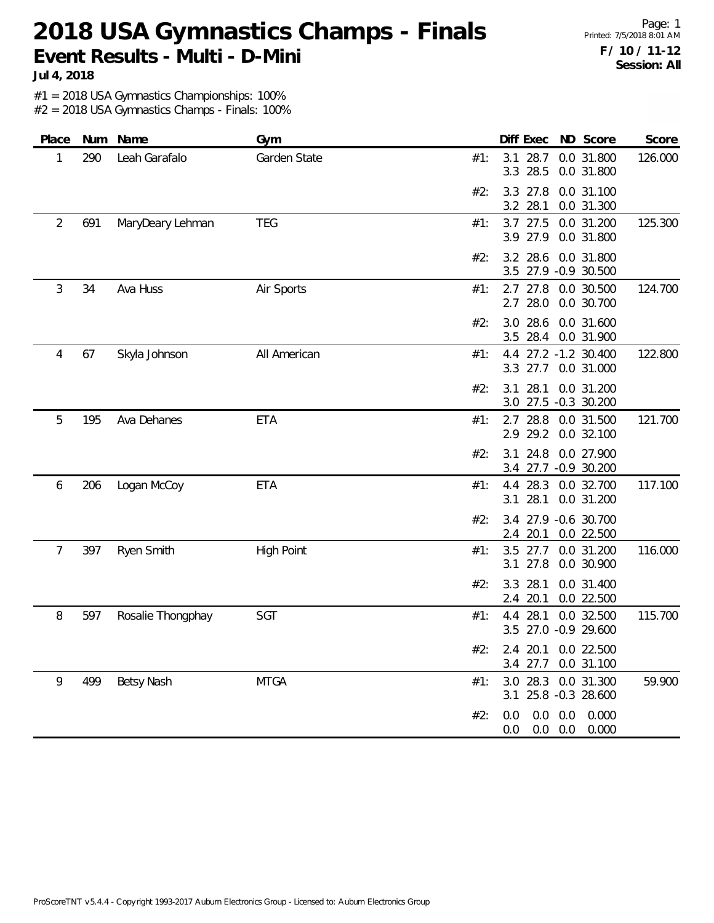Page: 1 Printed: 7/5/2018 8:01 AM **F / 10 / 11-12 Session: All**

**Jul 4, 2018**

#1 = 2018 USA Gymnastics Championships: 100%

| Place          | Num | Name              | Gym               |     | Diff Exec<br>ND Score                                    | Score   |
|----------------|-----|-------------------|-------------------|-----|----------------------------------------------------------|---------|
| 1              | 290 | Leah Garafalo     | Garden State      | #1: | 28.7<br>0.0 31.800<br>3.1<br>3.3 28.5<br>0.0 31.800      | 126.000 |
|                |     |                   |                   | #2: | 0.0 31.100<br>3.3 27.8<br>3.2 28.1<br>0.0 31.300         |         |
| $\overline{2}$ | 691 | MaryDeary Lehman  | <b>TEG</b>        | #1: | 3.7<br>27.5<br>0.0 31.200<br>27.9<br>3.9<br>0.0 31.800   | 125.300 |
|                |     |                   |                   | #2: | 3.2 28.6<br>0.0 31.800<br>3.5 27.9 -0.9 30.500           |         |
| 3              | 34  | Ava Huss          | Air Sports        | #1: | 2.7 27.8<br>0.0 30.500<br>28.0<br>2.7<br>0.0 30.700      | 124.700 |
|                |     |                   |                   | #2: | 28.6<br>0.0 31.600<br>3.0<br>28.4<br>0.0 31.900<br>3.5   |         |
| 4              | 67  | Skyla Johnson     | All American      | #1: | 27.2 -1.2 30.400<br>4.4<br>3.3 27.7<br>0.0 31.000        | 122.800 |
|                |     |                   |                   | #2: | 28.1<br>3.1<br>0.0 31.200<br>3.0 27.5 -0.3 30.200        |         |
| 5              | 195 | Ava Dehanes       | <b>ETA</b>        | #1: | 2.7 28.8<br>0.0 31.500<br>29.2<br>2.9<br>0.0 32.100      | 121.700 |
|                |     |                   |                   | #2: | 3.1<br>24.8<br>0.0 27.900<br>27.7 -0.9 30.200<br>3.4     |         |
| 6              | 206 | Logan McCoy       | <b>ETA</b>        | #1: | 28.3<br>0.0 32.700<br>4.4<br>28.1<br>0.0 31.200<br>3.1   | 117.100 |
|                |     |                   |                   | #2: | 3.4 27.9 -0.6 30.700<br>20.1<br>0.0 22.500<br>2.4        |         |
| $\overline{7}$ | 397 | Ryen Smith        | <b>High Point</b> | #1: | 3.5<br>27.7<br>0.0 31.200<br>27.8<br>3.1<br>0.0 30.900   | 116.000 |
|                |     |                   |                   | #2: | 3.3<br>28.1<br>0.0 31.400<br>2.4<br>20.1<br>0.0 22.500   |         |
| 8              | 597 | Rosalie Thongphay | SGT               | #1: | 28.1<br>4.4<br>0.0 32.500<br>3.5 27.0 -0.9 29.600        | 115.700 |
|                |     |                   |                   | #2: | 2.4 20.1 0.0 22.500<br>3.4 27.7 0.0 31.100               |         |
| 9              | 499 | Betsy Nash        | <b>MTGA</b>       | #1: | 3.0 28.3 0.0 31.300<br>3.1 25.8 -0.3 28.600              | 59.900  |
|                |     |                   |                   | #2: | $0.0\ 0.0$<br>0.0<br>0.000<br>$0.0\ 0.0$<br>0.000<br>0.0 |         |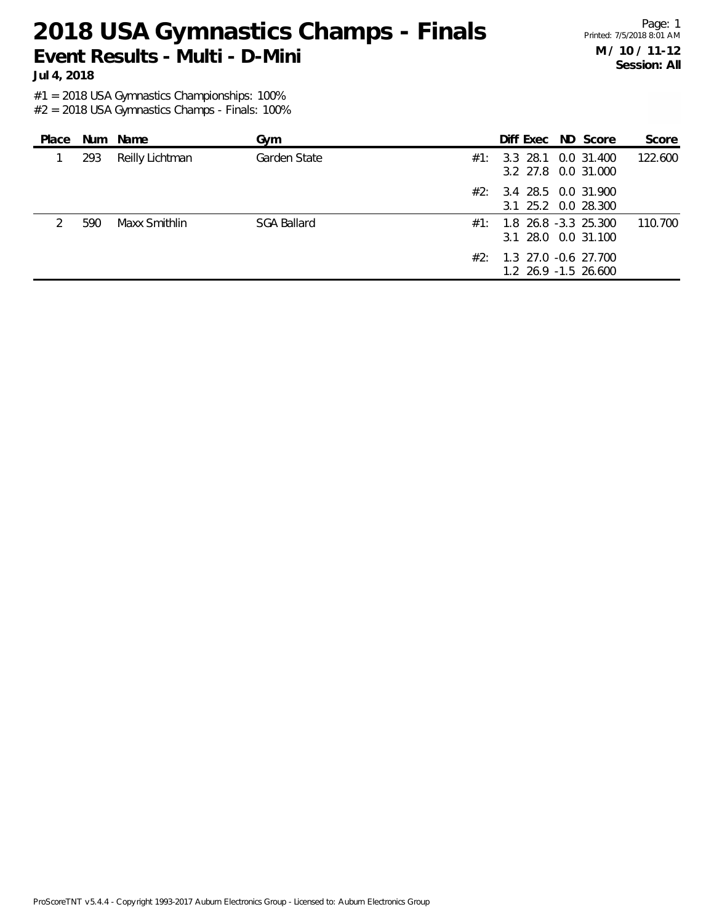Page: 1 Printed: 7/5/2018 8:01 AM **M / 10 / 11-12 Session: All**

**Jul 4, 2018**

#1 = 2018 USA Gymnastics Championships: 100%

| Place |     | Num Name        | Gym                |     | Diff Exec ND Score                             |  | Score   |
|-------|-----|-----------------|--------------------|-----|------------------------------------------------|--|---------|
|       | 293 | Reilly Lichtman | Garden State       | #1: | 3.3 28.1 0.0 31.400<br>3.2 27.8 0.0 31.000     |  | 122.600 |
|       |     |                 |                    | #2: | 3.4 28.5 0.0 31.900<br>3.1 25.2 0.0 28.300     |  |         |
|       | 590 | Maxx Smithlin   | <b>SGA Ballard</b> | #1: | 1.8 26.8 -3.3 25.300<br>3.1 28.0 0.0 31.100    |  | 110.700 |
|       |     |                 |                    | #2: | 1.3 27.0 -0.6 27.700<br>$1.2$ 26.9 -1.5 26.600 |  |         |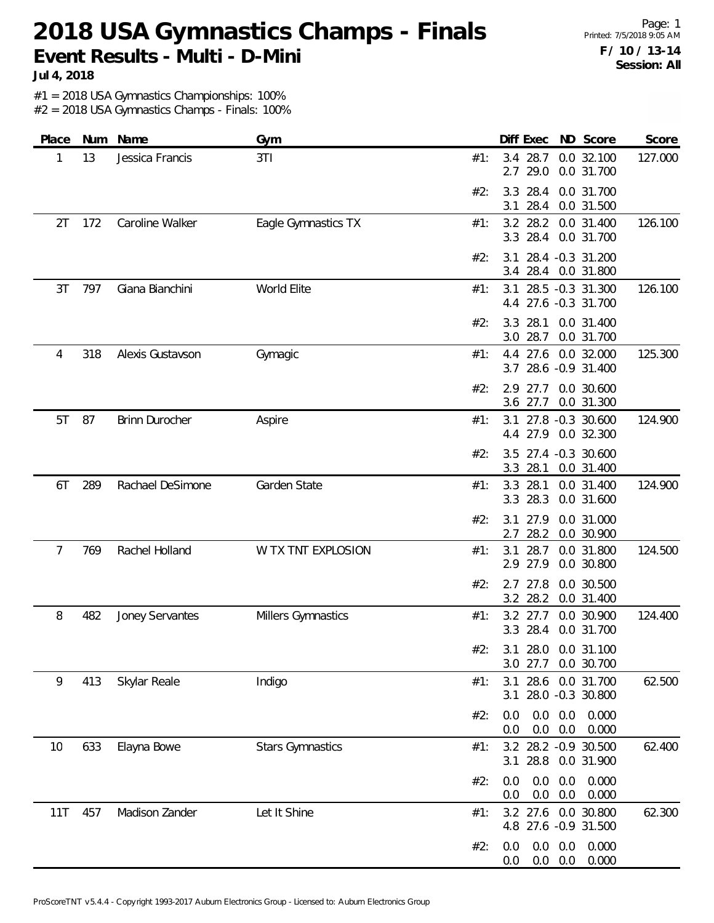Page: 1 Printed: 7/5/2018 9:05 AM **F / 10 / 13-14 Session: All**

**Jul 4, 2018**

#1 = 2018 USA Gymnastics Championships: 100%

| Place | Num | Name                  | Gym                     |     | Diff Exec                    | ND Score                                    | Score   |
|-------|-----|-----------------------|-------------------------|-----|------------------------------|---------------------------------------------|---------|
| 1     | 13  | Jessica Francis       | 3T1                     | #1: | 28.7<br>3.4<br>29.0<br>2.7   | 0.0 32.100<br>0.0 31.700                    | 127.000 |
|       |     |                       |                         | #2: | 28.4<br>3.3<br>28.4<br>3.1   | 0.0 31.700<br>0.0 31.500                    |         |
| 2T    | 172 | Caroline Walker       | Eagle Gymnastics TX     | #1: | 3.2 28.2<br>3.3 28.4         | 0.0 31.400<br>0.0 31.700                    | 126.100 |
|       |     |                       |                         | #2: | 3.1<br>3.4                   | 28.4 -0.3 31.200<br>28.4 0.0 31.800         |         |
| 3T    | 797 | Giana Bianchini       | World Elite             | #1: | 3.1                          | 28.5 -0.3 31.300<br>4.4 27.6 -0.3 31.700    | 126.100 |
|       |     |                       |                         | #2: | 3.3<br>28.1<br>3.0 28.7      | 0.0 31.400<br>0.0 31.700                    |         |
| 4     | 318 | Alexis Gustavson      | Gymagic                 | #1: | 4.4<br>27.6<br>3.7           | 0.0 32.000<br>28.6 -0.9 31.400              | 125.300 |
|       |     |                       |                         | #2: | 2.9 27.7<br>3.6 27.7         | 0.0 30.600<br>0.0 31.300                    |         |
| 5T    | 87  | <b>Brinn Durocher</b> | Aspire                  | #1: |                              | 3.1 27.8 -0.3 30.600<br>4.4 27.9 0.0 32.300 | 124.900 |
|       |     |                       |                         | #2: | 3.3 28.1                     | 3.5 27.4 -0.3 30.600<br>0.0 31.400          |         |
| 6T    | 289 | Rachael DeSimone      | Garden State            | #1: | 3.3<br>28.1<br>3.3 28.3      | 0.0 31.400<br>0.0 31.600                    | 124.900 |
|       |     |                       |                         | #2: | 27.9<br>3.1<br>28.2<br>2.7   | 0.0 31.000<br>0.0 30.900                    |         |
| 7     | 769 | Rachel Holland        | W TX TNT EXPLOSION      | #1: | 28.7<br>3.1<br>2.9 27.9      | 0.0 31.800<br>0.0 30.800                    | 124.500 |
|       |     |                       |                         | #2: | 27.8<br>2.7<br>3.2 28.2      | 0.0 30.500<br>0.0 31.400                    |         |
| 8     | 482 | Joney Servantes       | Millers Gymnastics      | #1: | 3.2 27.7<br>3.3 28.4         | 0.0 30.900<br>0.0 31.700                    | 124.400 |
|       |     |                       |                         |     | 3.0 27.7                     | #2: 3.1 28.0 0.0 31.100<br>0.0 30.700       |         |
| 9     | 413 | Skylar Reale          | Indigo                  | #1: | 28.6<br>3.1<br>3.1           | 0.0 31.700<br>28.0 -0.3 30.800              | 62.500  |
|       |     |                       |                         | #2: | 0.0<br>0.0<br>0.0<br>0.0     | 0.0<br>0.000<br>0.0<br>0.000                |         |
| 10    | 633 | Elayna Bowe           | <b>Stars Gymnastics</b> | #1: | 28.8<br>3.1                  | 3.2 28.2 -0.9 30.500<br>0.0 31.900          | 62.400  |
|       |     |                       |                         | #2: | 0.0<br>0.0<br>$0.0\,$<br>0.0 | 0.0<br>0.000<br>0.0<br>0.000                |         |
| 11T   | 457 | Madison Zander        | Let It Shine            | #1: | $3.2$ 27.6                   | 0.0 30.800<br>4.8 27.6 -0.9 31.500          | 62.300  |
|       |     |                       |                         | #2: | 0.0<br>0.0<br>0.0<br>0.0     | 0.0<br>0.000<br>0.0<br>0.000                |         |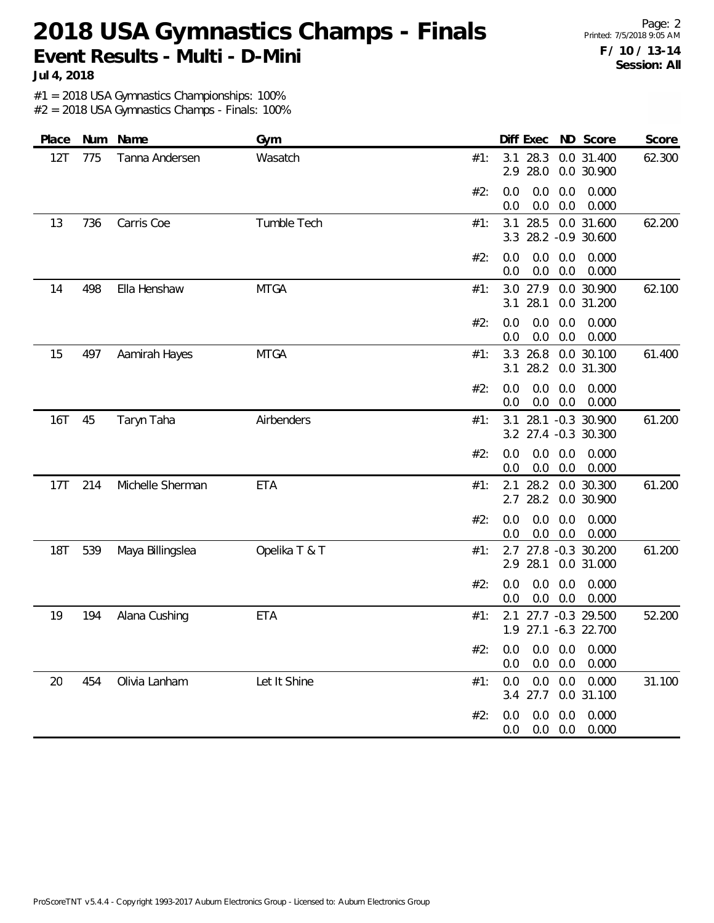Page: 2 Printed: 7/5/2018 9:05 AM **F / 10 / 13-14 Session: All**

**Jul 4, 2018**

#1 = 2018 USA Gymnastics Championships: 100%

| Place      | Num | Name             | Gym           |     | Diff Exec<br>ND Score                                            | Score  |
|------------|-----|------------------|---------------|-----|------------------------------------------------------------------|--------|
| 12T        | 775 | Tanna Andersen   | Wasatch       | #1: | 28.3<br>0.0 31.400<br>3.1<br>2.9 28.0<br>0.0 30.900              | 62.300 |
|            |     |                  |               | #2: | 0.0<br>0.0<br>0.000<br>0.0<br>0.0<br>0.0<br>0.0<br>0.000         |        |
| 13         | 736 | Carris Coe       | Tumble Tech   | #1: | 28.5<br>3.1<br>0.0 31.600<br>28.2 -0.9 30.600<br>3.3             | 62.200 |
|            |     |                  |               | #2: | 0.0<br>0.0<br>0.0<br>0.000<br>0.0<br>0.0<br>0.0<br>0.000         |        |
| 14         | 498 | Ella Henshaw     | <b>MTGA</b>   | #1: | 0.0 30.900<br>3.0 27.9<br>28.1<br>3.1<br>0.0 31.200              | 62.100 |
|            |     |                  |               | #2: | 0.0<br>0.0<br>0.0<br>0.000<br>0.0<br>0.0<br>0.0<br>0.000         |        |
| 15         | 497 | Aamirah Hayes    | <b>MTGA</b>   | #1: | 3.3<br>26.8<br>0.0 30.100<br>28.2<br>0.0 31.300<br>3.1           | 61.400 |
|            |     |                  |               | #2: | 0.0<br>0.0<br>0.0<br>0.000<br>0.0<br>0.000<br>0.0<br>0.0         |        |
| <b>16T</b> | 45  | Taryn Taha       | Airbenders    | #1: | 28.1 -0.3 30.900<br>3.1<br>3.2 27.4 -0.3 30.300                  | 61.200 |
|            |     |                  |               | #2: | 0.0<br>0.0<br>0.0<br>0.000<br>0.0<br>0.000<br>0.0<br>0.0         |        |
| 17T        | 214 | Michelle Sherman | <b>ETA</b>    | #1: | 28.2<br>0.0 30.300<br>2.1<br>28.2<br>0.0 30.900<br>2.7           | 61.200 |
|            |     |                  |               | #2: | 0.0<br>0.0<br>0.000<br>0.0<br>0.0<br>0.0<br>0.000<br>0.0         |        |
| <b>18T</b> | 539 | Maya Billingslea | Opelika T & T | #1: | 27.8 -0.3 30.200<br>2.7<br>28.1<br>0.0 31.000<br>2.9             | 61.200 |
|            |     |                  |               | #2: | 0.0<br>0.0<br>0.0<br>0.000<br>0.0<br>0.000<br>0.0<br>0.0         |        |
| 19         | 194 | Alana Cushing    | <b>ETA</b>    | #1: | 27.7 -0.3 29.500<br>2.1<br>1.9 27.1 -6.3 22.700                  | 52.200 |
|            |     |                  |               |     | #2: 0.0 0.0 0.0 0.000<br>$0.0\quad 0.0$<br>0.0<br>0.000          |        |
| 20         | 454 | Olivia Lanham    | Let It Shine  | #1: | 0.0<br>$0.0\quad 0.0$<br>0.000<br>3.4 27.7 0.0 31.100            | 31.100 |
|            |     |                  |               | #2: | 0.0<br>$0.0\quad 0.0$<br>0.000<br>$0.0\quad 0.0$<br>0.000<br>0.0 |        |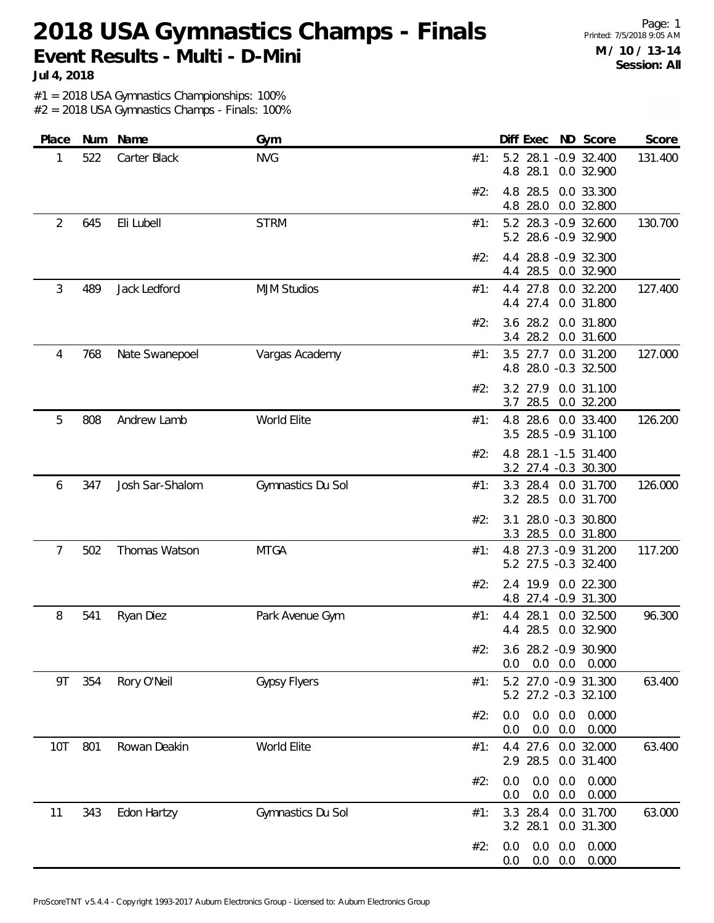Page: 1 Printed: 7/5/2018 9:05 AM **M / 10 / 13-14 Session: All**

**Jul 4, 2018**

#1 = 2018 USA Gymnastics Championships: 100%

| Place          | Num            | Name            | Gym                                                           | Diff Exec<br>ND Score<br>Score                                         |
|----------------|----------------|-----------------|---------------------------------------------------------------|------------------------------------------------------------------------|
| 1              | 522            | Carter Black    | <b>NVG</b>                                                    | 5.2<br>28.1 -0.9 32.400<br>131.400<br>#1:<br>4.8<br>28.1<br>0.0 32.900 |
|                |                |                 |                                                               | 4.8 28.5<br>0.0 33.300<br>#2:<br>4.8<br>28.0<br>0.0 32.800             |
| $\overline{2}$ | 645            | Eli Lubell      | <b>STRM</b>                                                   | 5.2 28.3 -0.9 32.600<br>130.700<br>#1:<br>5.2 28.6 -0.9 32.900         |
|                |                |                 |                                                               | 28.8 - 0.9 32.300<br>#2:<br>4.4<br>28.5<br>0.0 32.900<br>4.4           |
| 3              | 489            | Jack Ledford    | <b>MJM Studios</b>                                            | 127.400<br>27.8 0.0 32.200<br>#1:<br>4.4<br>27.4<br>0.0 31.800<br>4.4  |
|                |                |                 |                                                               | 3.6 28.2<br>0.0 31.800<br>#2:<br>3.4 28.2<br>0.0 31.600                |
| 768<br>4       | Nate Swanepoel | Vargas Academy  | 127.000<br>3.5 27.7 0.0 31.200<br>#1:<br>4.8 28.0 -0.3 32.500 |                                                                        |
|                |                |                 |                                                               | #2:<br>3.2 27.9<br>0.0 31.100<br>28.5<br>0.0 32.200<br>3.7             |
| 5              | 808            | Andrew Lamb     | World Elite                                                   | 28.6<br>0.0 33.400<br>126.200<br>#1:<br>4.8<br>3.5 28.5 -0.9 31.100    |
|                |                |                 |                                                               | 4.8 28.1 -1.5 31.400<br>#2:<br>3.2 27.4 -0.3 30.300                    |
| 6              | 347            | Josh Sar-Shalom | Gymnastics Du Sol                                             | 126.000<br>3.3 28.4 0.0 31.700<br>#1:<br>3.2 28.5<br>0.0 31.700        |
|                |                |                 |                                                               | 28.0 -0.3 30.800<br>#2:<br>3.1<br>28.5 0.0 31.800<br>3.3               |
| 7              | 502            | Thomas Watson   | <b>MTGA</b>                                                   | 4.8 27.3 -0.9 31.200<br>117.200<br>#1:<br>5.2 27.5 -0.3 32.400         |
|                |                |                 |                                                               | 2.4 19.9<br>0.0 22.300<br>#2:<br>27.4 - 0.9 31.300<br>4.8              |
| 8              | 541            | Ryan Diez       | Park Avenue Gym                                               | 28.1<br>0.0 32.500<br>96.300<br>#1:<br>4.4<br>4.4 28.5<br>0.0 32.900   |
|                |                |                 |                                                               | 3.6 28.2 -0.9 30.900<br>#2:<br>$0.0$ $0.0$ $0.000$<br>0.0              |
| 9T             | 354            | Rory O'Neil     | <b>Gypsy Flyers</b>                                           | 5.2 27.0 -0.9 31.300<br>63.400<br>#1:<br>5.2 27.2 -0.3 32.100          |
|                |                |                 |                                                               | 0.0<br>$0.0\quad 0.0$<br>0.000<br>#2:<br>0.0<br>0.0<br>0.000<br>0.0    |
| 10T            | 801            | Rowan Deakin    | World Elite                                                   | 4.4 27.6 0.0 32.000<br>63.400<br>#1:<br>2.9 28.5<br>0.0 31.400         |
|                |                |                 |                                                               | 0.0<br>0.0<br>0.000<br>#2:<br>0.0<br>0.0<br>0.0<br>0.000<br>0.0        |
| 11             | 343            | Edon Hartzy     | Gymnastics Du Sol                                             | 3.3 28.4<br>0.0 31.700<br>63.000<br>#1:<br>3.2 28.1<br>0.0 31.300      |
|                |                |                 |                                                               | 0.0<br>#2:<br>0.0<br>0.0<br>0.000<br>$0.0\ 0.0$<br>0.000<br>0.0        |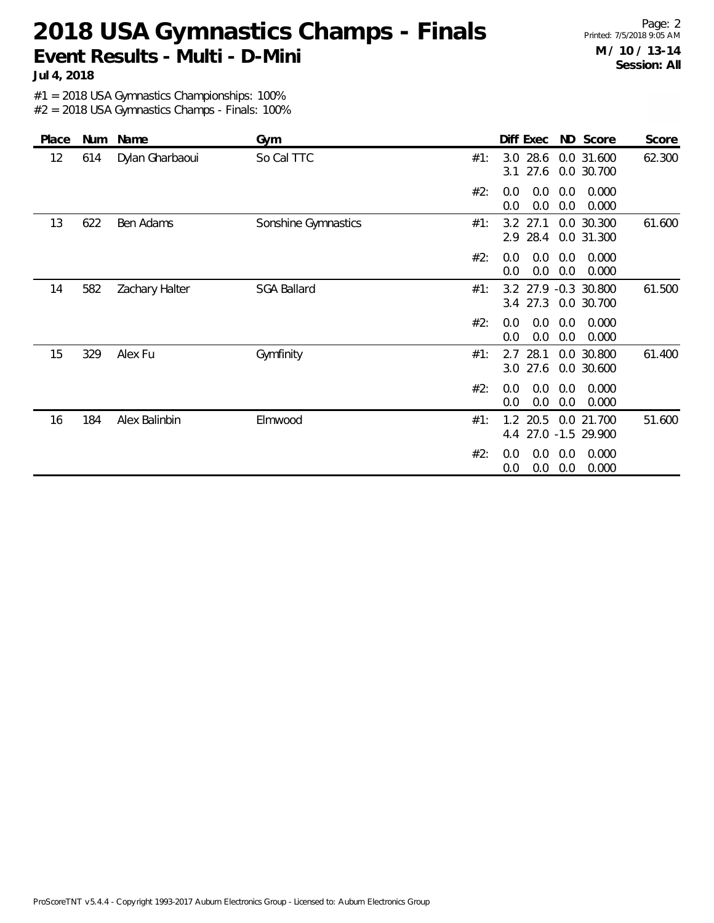Page: 2 Printed: 7/5/2018 9:05 AM **M / 10 / 13-14 Session: All**

**Jul 4, 2018**

#1 = 2018 USA Gymnastics Championships: 100%

| Place | Num | Name            | Gym                 |     | Diff Exec                  |            | ND Score                       | Score  |
|-------|-----|-----------------|---------------------|-----|----------------------------|------------|--------------------------------|--------|
| 12    | 614 | Dylan Gharbaoui | So Cal TTC          | #1: | 28.6<br>3.0<br>27.6<br>3.1 |            | 0.0 31.600<br>0.0 30.700       | 62.300 |
|       |     |                 |                     | #2: | 0.0<br>0.0<br>0.0<br>0.0   | 0.0<br>0.0 | 0.000<br>0.000                 |        |
| 13    | 622 | Ben Adams       | Sonshine Gymnastics | #1: | $3.2$ 27.1<br>2.9 28.4     |            | 0.0 30.300<br>0.0 31.300       | 61.600 |
|       |     |                 |                     | #2: | 0.0<br>0.0<br>0.0<br>0.0   | 0.0<br>0.0 | 0.000<br>0.000                 |        |
| 14    | 582 | Zachary Halter  | <b>SGA Ballard</b>  | #1: | 3.2 27.9<br>3.4 27.3       |            | $-0.3$ 30.800<br>0.0 30.700    | 61.500 |
|       |     |                 |                     | #2: | 0.0<br>0.0<br>0.0<br>0.0   | 0.0<br>0.0 | 0.000<br>0.000                 |        |
| 15    | 329 | Alex Fu         | Gymfinity           | #1: | 28.1<br>2.7<br>27.6<br>3.0 |            | 0.0 30.800<br>0.0 30.600       | 61.400 |
|       |     |                 |                     | #2: | 0.0<br>0.0<br>0.0<br>0.0   | 0.0<br>0.0 | 0.000<br>0.000                 |        |
| 16    | 184 | Alex Balinbin   | Elmwood             | #1: | 1.2 20.5<br>4.4            |            | 0.0 21.700<br>27.0 -1.5 29.900 | 51.600 |
|       |     |                 |                     | #2: | 0.0<br>0.0<br>0.0<br>0.0   | 0.0<br>0.0 | 0.000<br>0.000                 |        |
|       |     |                 |                     |     |                            |            |                                |        |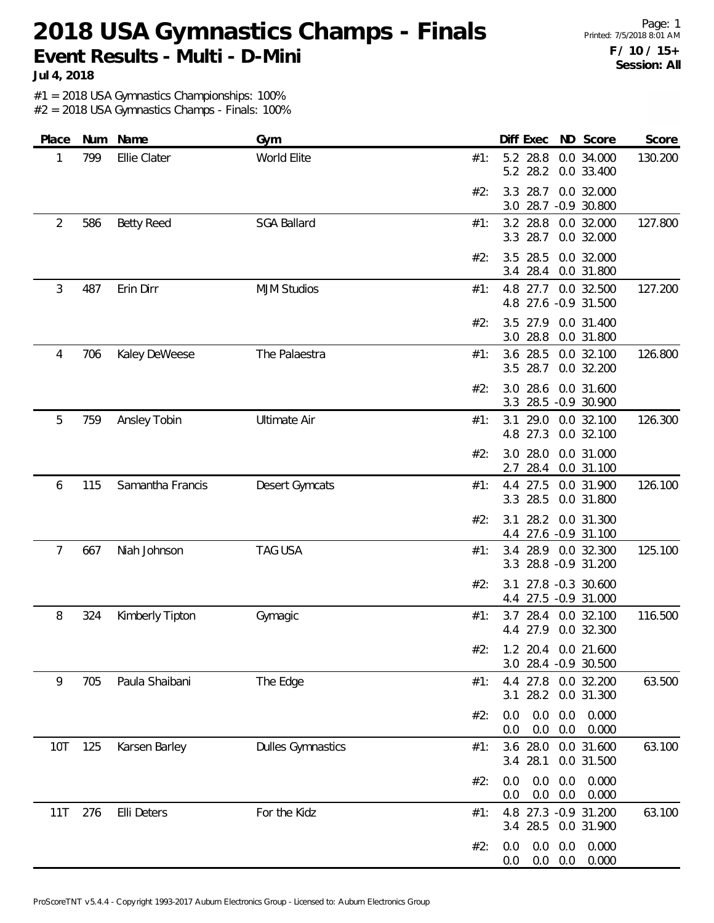Page: 1 Printed: 7/5/2018 8:01 AM **F / 10 / 15+ Session: All**

**Jul 4, 2018**

#1 = 2018 USA Gymnastics Championships: 100%

| Place    | Num | Name              | Gym                                                        | Score<br>Diff Exec ND Score                                              |
|----------|-----|-------------------|------------------------------------------------------------|--------------------------------------------------------------------------|
| 1        | 799 | Ellie Clater      | World Elite                                                | 5.2 28.8<br>0.0 34.000<br>130.200<br>#1:<br>5.2 28.2<br>0.0 33.400       |
|          |     |                   |                                                            | 3.3 28.7<br>0.0 32.000<br>#2:<br>28.7 -0.9 30.800<br>3.0                 |
| 2        | 586 | <b>Betty Reed</b> | <b>SGA Ballard</b>                                         | 28.8<br>0.0 32.000<br>3.2<br>127.800<br>#1:<br>3.3 28.7<br>0.0 32.000    |
|          |     |                   |                                                            | 3.5 28.5<br>0.0 32.000<br>#2:<br>3.4 28.4<br>0.0 31.800                  |
| 3        | 487 | Erin Dirr         | <b>MJM Studios</b>                                         | 127.200<br>4.8 27.7 0.0 32.500<br>#1:<br>4.8 27.6 -0.9 31.500            |
|          |     |                   | 0.0 31.400<br>3.5<br>27.9<br>#2:<br>3.0 28.8<br>0.0 31.800 |                                                                          |
| 706<br>4 |     | Kaley DeWeese     | The Palaestra                                              | 3.6 28.5<br>0.0 32.100<br>126.800<br>#1:<br>3.5 28.7<br>0.0 32.200       |
|          |     |                   |                                                            | 3.0 28.6<br>0.0 31.600<br>#2:<br>28.5 -0.9 30.900<br>3.3                 |
| 5        | 759 | Ansley Tobin      | <b>Ultimate Air</b>                                        | 29.0<br>0.0 32.100<br>3.1<br>126.300<br>#1:<br>4.8 27.3<br>0.0 32.100    |
|          |     |                   |                                                            | 28.0<br>0.0 31.000<br>#2:<br>3.0<br>2.7<br>28.4<br>0.0 31.100            |
| 6        | 115 | Samantha Francis  | Desert Gymcats                                             | 126.100<br>4.4 27.5<br>0.0 31.900<br>#1:<br>3.3 28.5<br>0.0 31.800       |
|          |     |                   |                                                            | 28.2<br>0.0 31.300<br>#2:<br>3.1<br>4.4 27.6 -0.9 31.100                 |
| 7        | 667 | Niah Johnson      | <b>TAG USA</b>                                             | 125.100<br>28.9<br>0.0 32.300<br>#1:<br>3.4<br>3.3 28.8 -0.9 31.200      |
|          |     |                   |                                                            | 27.8 -0.3 30.600<br>#2:<br>3.1<br>27.5 -0.9 31.000<br>4.4                |
| 8        | 324 | Kimberly Tipton   | Gymagic                                                    | 28.4<br>0.0 32.100<br>116.500<br>#1:<br>3.7<br>27.9<br>0.0 32.300<br>4.4 |
|          |     |                   |                                                            | #2:<br>1.2 20.4 0.0 21.600<br>3.0 28.4 -0.9 30.500                       |
| 9        | 705 | Paula Shaibani    | The Edge                                                   | 4.4 27.8 0.0 32.200<br>63.500<br>#1:<br>3.1 28.2 0.0 31.300              |
|          |     |                   |                                                            | 0.0<br>0.0<br>0.0<br>0.000<br>#2:<br>0.0<br>0.0<br>0.0<br>0.000          |
| 10T      | 125 | Karsen Barley     | <b>Dulles Gymnastics</b>                                   | 3.6 28.0<br>0.0 31.600<br>63.100<br>#1:<br>3.4 28.1<br>0.0 31.500        |
|          |     |                   |                                                            | 0.0<br>0.0<br>0.0<br>0.000<br>#2:<br>0.0<br>0.000<br>0.0<br>0.0          |
| 11T      | 276 | Elli Deters       | For the Kidz                                               | 63.100<br>4.8 27.3 -0.9 31.200<br>#1:<br>3.4 28.5<br>0.0 31.900          |
|          |     |                   |                                                            | 0.0<br>0.0<br>0.000<br>0.0<br>#2:<br>$0.0\ 0.0$<br>0.000<br>0.0          |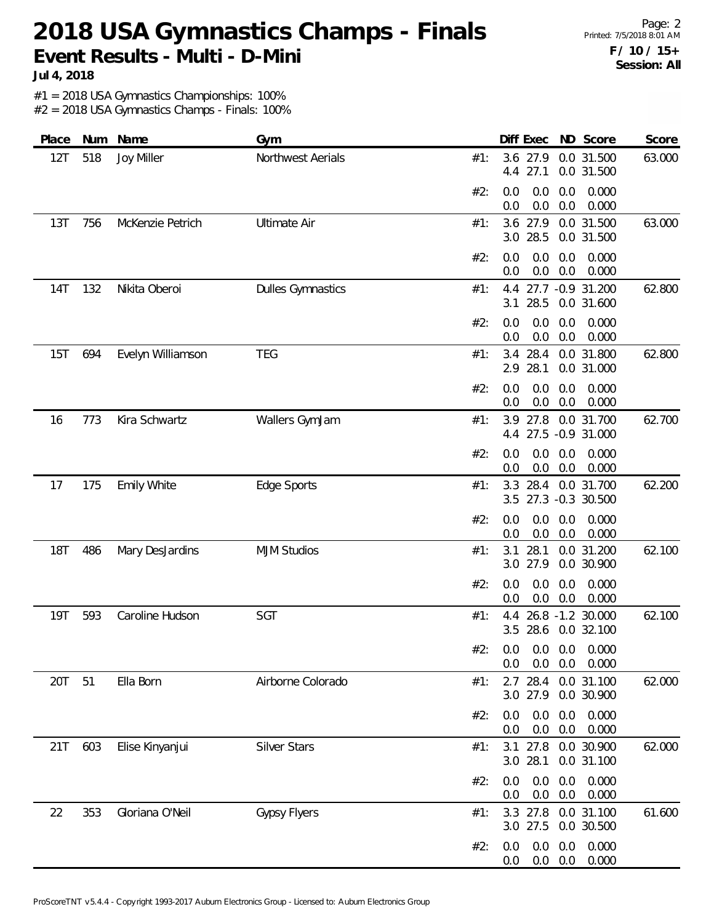Page: 2 Printed: 7/5/2018 8:01 AM **F / 10 / 15+ Session: All**

**Jul 4, 2018**

#1 = 2018 USA Gymnastics Championships: 100%

| Place      | Num | Name               | Gym                                                                 | Score<br>Diff Exec<br>ND Score                                          |
|------------|-----|--------------------|---------------------------------------------------------------------|-------------------------------------------------------------------------|
| 12T        | 518 | Joy Miller         | Northwest Aerials                                                   | 3.6 27.9<br>0.0 31.500<br>63.000<br>#1:<br>27.1<br>0.0 31.500<br>4.4    |
|            |     |                    |                                                                     | #2:<br>0.0<br>0.0<br>0.0<br>0.000<br>0.0<br>0.0<br>0.0<br>0.000         |
| 13T        | 756 | McKenzie Petrich   | <b>Ultimate Air</b>                                                 | 0.0 31.500<br>3.6 27.9<br>63.000<br>#1:<br>3.0 28.5<br>0.0 31.500       |
|            |     |                    |                                                                     | 0.0<br>0.0<br>#2:<br>0.0<br>0.000<br>0.0<br>0.0<br>0.000<br>0.0         |
| 14T        | 132 | Nikita Oberoi      | <b>Dulles Gymnastics</b>                                            | 62.800<br>4.4<br>27.7 -0.9 31.200<br>#1:<br>28.5<br>0.0 31.600<br>3.1   |
|            |     |                    | 0.0<br>0.0<br>#2:<br>0.0<br>0.000<br>$0.0\,$<br>0.0<br>0.0<br>0.000 |                                                                         |
| 15T        | 694 | Evelyn Williamson  | <b>TEG</b>                                                          | 62.800<br>28.4<br>0.0 31.800<br>3.4<br>#1:<br>2.9<br>28.1<br>0.0 31.000 |
|            |     |                    |                                                                     | 0.000<br>#2:<br>0.0<br>0.0<br>0.0<br>0.0<br>0.0<br>0.000<br>0.0         |
| 16         | 773 | Kira Schwartz      | Wallers GymJam                                                      | 27.8<br>0.0 31.700<br>62.700<br>3.9<br>#1:<br>4.4 27.5 -0.9 31.000      |
|            |     |                    |                                                                     | #2:<br>0.0<br>0.0<br>0.0<br>0.000<br>0.0<br>0.0<br>0.0<br>0.000         |
| 17         | 175 | <b>Emily White</b> | Edge Sports                                                         | 3.3 28.4<br>62.200<br>0.0 31.700<br>#1:<br>3.5 27.3 -0.3 30.500         |
|            |     |                    |                                                                     | 0.0<br>#2:<br>0.0<br>0.0<br>0.000<br>0.0<br>0.0<br>0.0<br>0.000         |
| <b>18T</b> | 486 | Mary DesJardins    | <b>MJM Studios</b>                                                  | 28.1<br>62.100<br>0.0 31.200<br>3.1<br>#1:<br>3.0 27.9<br>0.0 30.900    |
|            |     |                    |                                                                     | 0.000<br>#2:<br>0.0<br>0.0<br>0.0<br>0.0<br>0.0<br>0.000<br>0.0         |
| <b>19T</b> | 593 | Caroline Hudson    | SGT                                                                 | 26.8 -1.2 30.000<br>62.100<br>#1:<br>4.4<br>3.5 28.6 0.0 32.100         |
|            |     |                    |                                                                     | #2: 0.0 0.0 0.0 0.000<br>0.0<br>0.0<br>0.0<br>0.000                     |
| 20T        | 51  | Ella Born          | Airborne Colorado                                                   | 2.7 28.4 0.0 31.100<br>62.000<br>#1:<br>3.0 27.9<br>0.0 30.900          |
|            |     |                    |                                                                     | 0.0<br>0.0<br>0.0<br>0.000<br>#2:<br>0.0<br>0.0<br>0.000<br>0.0         |
| 21T        | 603 | Elise Kinyanjui    | <b>Silver Stars</b>                                                 | 0.0 30.900<br>62.000<br>27.8<br>#1:<br>3.1<br>3.0 28.1<br>0.0 31.100    |
|            |     |                    |                                                                     | 0.0<br>0.0<br>0.0<br>0.000<br>#2:<br>0.0<br>0.0<br>0.000<br>0.0         |
| 22         | 353 | Gloriana O'Neil    | <b>Gypsy Flyers</b>                                                 | 3.3 27.8 0.0 31.100<br>61.600<br>#1:<br>3.0 27.5<br>0.0 30.500          |
|            |     |                    |                                                                     | 0.000<br>#2:<br>0.0<br>0.0<br>0.0<br>0.0<br>0.000<br>0.0<br>0.0         |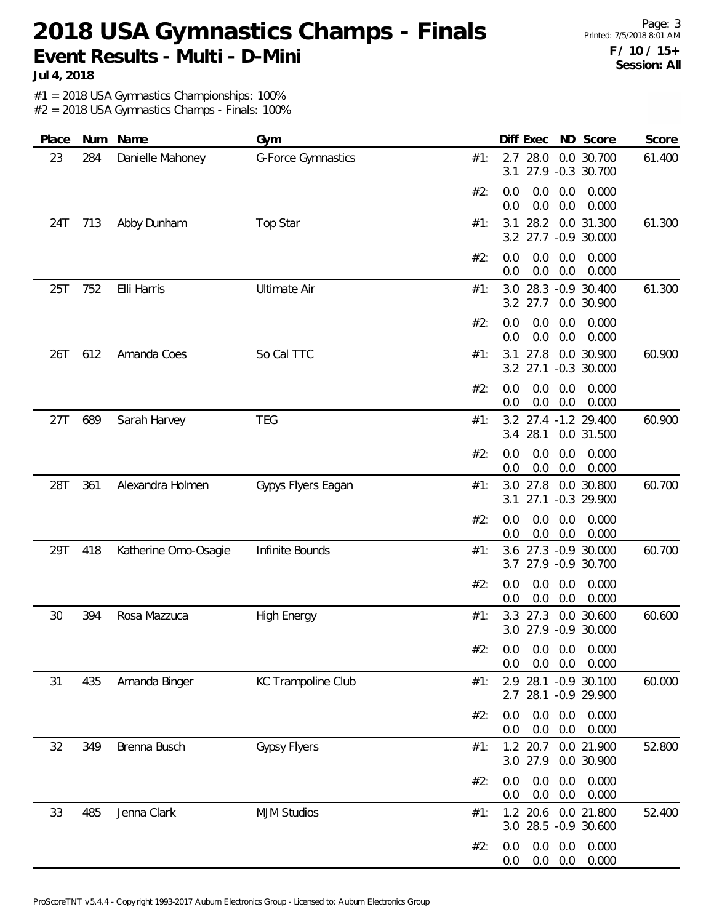Page: 3 Printed: 7/5/2018 8:01 AM **F / 10 / 15+ Session: All**

**Jul 4, 2018**

#1 = 2018 USA Gymnastics Championships: 100%

| Place      | Num         | Name                 | Gym                                                                | Diff Exec ND Score<br>Score                                             |
|------------|-------------|----------------------|--------------------------------------------------------------------|-------------------------------------------------------------------------|
| 23         | 284         | Danielle Mahoney     | <b>G-Force Gymnastics</b>                                          | 2.7 28.0<br>0.0 30.700<br>61.400<br>#1:<br>27.9 -0.3 30.700<br>3.1      |
|            |             |                      |                                                                    | 0.0<br>#2:<br>0.0<br>0.0<br>0.000<br>0.0<br>0.0<br>0.000<br>0.0         |
| 24T        | 713         | Abby Dunham          | Top Star                                                           | 28.2<br>0.0 31.300<br>61.300<br>3.1<br>#1:<br>3.2 27.7 -0.9 30.000      |
|            |             |                      |                                                                    | 0.0<br>0.0<br>0.000<br>#2:<br>0.0<br>0.0<br>0.0<br>0.0<br>0.000         |
| 25T        | 752         | Elli Harris          | <b>Ultimate Air</b>                                                | 3.0 28.3 -0.9 30.400<br>61.300<br>#1:<br>3.2 27.7<br>0.0 30.900         |
|            |             |                      | 0.0<br>0.0<br>0.000<br>#2:<br>0.0<br>0.0<br>0.0<br>0.0<br>0.000    |                                                                         |
| 26T<br>612 | Amanda Coes | So Cal TTC           | 60.900<br>27.8<br>0.0 30.900<br>#1:<br>3.1<br>3.2 27.1 -0.3 30.000 |                                                                         |
|            |             |                      |                                                                    | 0.0<br>#2:<br>0.0<br>0.0<br>0.000<br>0.0<br>0.0<br>0.000<br>0.0         |
| 27T        | 689         | Sarah Harvey         | <b>TEG</b>                                                         | 3.2 27.4 -1.2 29.400<br>60.900<br>#1:<br>3.4 28.1<br>0.0 31.500         |
|            |             |                      |                                                                    | #2:<br>0.0<br>0.0<br>0.0<br>0.000<br>0.0<br>0.0<br>0.0<br>0.000         |
| 28T        | 361         | Alexandra Holmen     | Gypys Flyers Eagan                                                 | 60.700<br>3.0 27.8<br>0.0 30.800<br>#1:<br>27.1<br>$-0.3$ 29.900<br>3.1 |
|            |             |                      |                                                                    | 0.0<br>0.0<br>0.0<br>#2:<br>0.000<br>0.0<br>0.0<br>0.000<br>0.0         |
| 29T        | 418         | Katherine Omo-Osagie | Infinite Bounds                                                    | 60.700<br>3.6 27.3 -0.9 30.000<br>#1:<br>3.7 27.9 -0.9 30.700           |
|            |             |                      |                                                                    | 0.0<br>0.000<br>#2:<br>0.0<br>0.0<br>0.0<br>0.0<br>0.000<br>0.0         |
| 30         | 394         | Rosa Mazzuca         | <b>High Energy</b>                                                 | 27.3<br>0.0 30.600<br>60.600<br>#1:<br>3.3<br>3.0 27.9 -0.9 30.000      |
|            |             |                      |                                                                    | #2: 0.0 0.0 0.0 0.000<br>$0.0\quad 0.0$<br>0.000<br>0.0                 |
| 31         | 435         | Amanda Binger        | KC Trampoline Club                                                 | 2.9 28.1 -0.9 30.100<br>60.000<br>#1:<br>2.7 28.1 -0.9 29.900           |
|            |             |                      |                                                                    | 0.0<br>0.0<br>0.0<br>0.000<br>#2:<br>0.0<br>0.0<br>0.0<br>0.000         |
| 32         | 349         | Brenna Busch         | <b>Gypsy Flyers</b>                                                | $1.2$ 20.7<br>0.0 21.900<br>52.800<br>#1:<br>3.0 27.9<br>0.0 30.900     |
|            |             |                      |                                                                    | 0.0<br>0.0<br>0.0<br>0.000<br>#2:<br>0.0<br>0.0<br>0.000<br>0.0         |
| 33         | 485         | Jenna Clark          | <b>MJM Studios</b>                                                 | 52.400<br>1.2 20.6 0.0 21.800<br>#1:<br>3.0 28.5 -0.9 30.600            |
|            |             |                      |                                                                    | 0.0<br>0.0<br>0.000<br>0.0<br>#2:<br>$0.0\quad 0.0$<br>0.000<br>0.0     |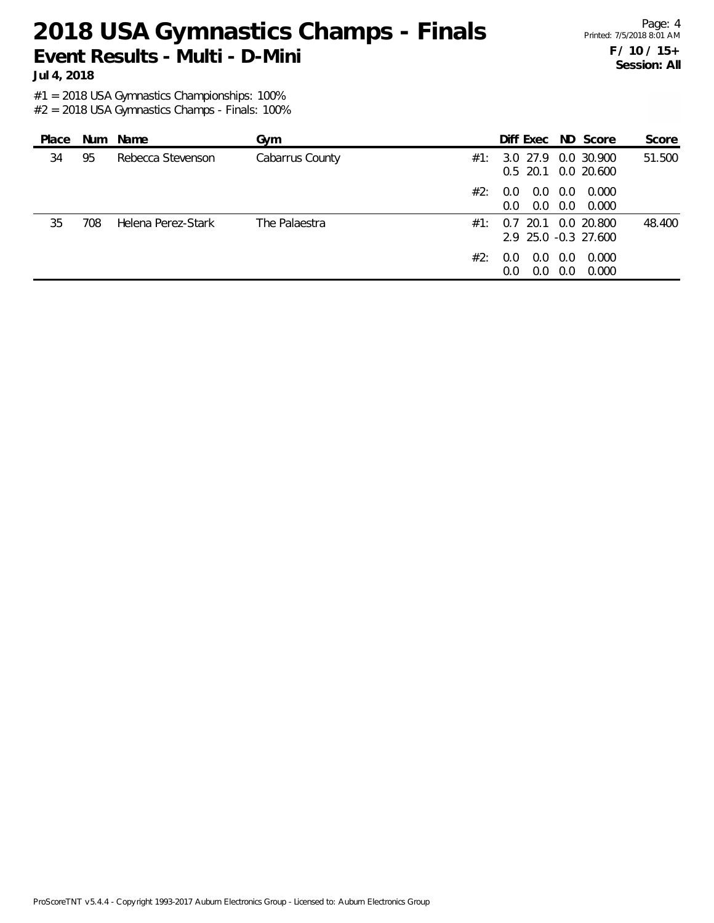Page: 4 Printed: 7/5/2018 8:01 AM **F / 10 / 15+ Session: All**

**Jul 4, 2018**

#1 = 2018 USA Gymnastics Championships: 100%

| Place | Num | Name               | Gym             |     | Diff Exec                                  |            | ND Score       | Score  |
|-------|-----|--------------------|-----------------|-----|--------------------------------------------|------------|----------------|--------|
| 34    | 95  | Rebecca Stevenson  | Cabarrus County | #1: | 3.0 27.9 0.0 30.900<br>0.5 20.1 0.0 20.600 |            |                | 51.500 |
|       |     |                    |                 | #2: | 0.0<br>0.0<br>0.0<br>0.0                   | 0.0<br>0.0 | 0.000<br>0.000 |        |
| 35    | 708 | Helena Perez-Stark | The Palaestra   | #1: | 20.1<br>0.7<br>2.9 25.0 -0.3 27.600        |            | 0.0 20.800     | 48.400 |
|       |     |                    |                 | #2: | 0.0<br>0.0<br>0.0<br>0.0                   | 0.0<br>0.0 | 0.000<br>0.000 |        |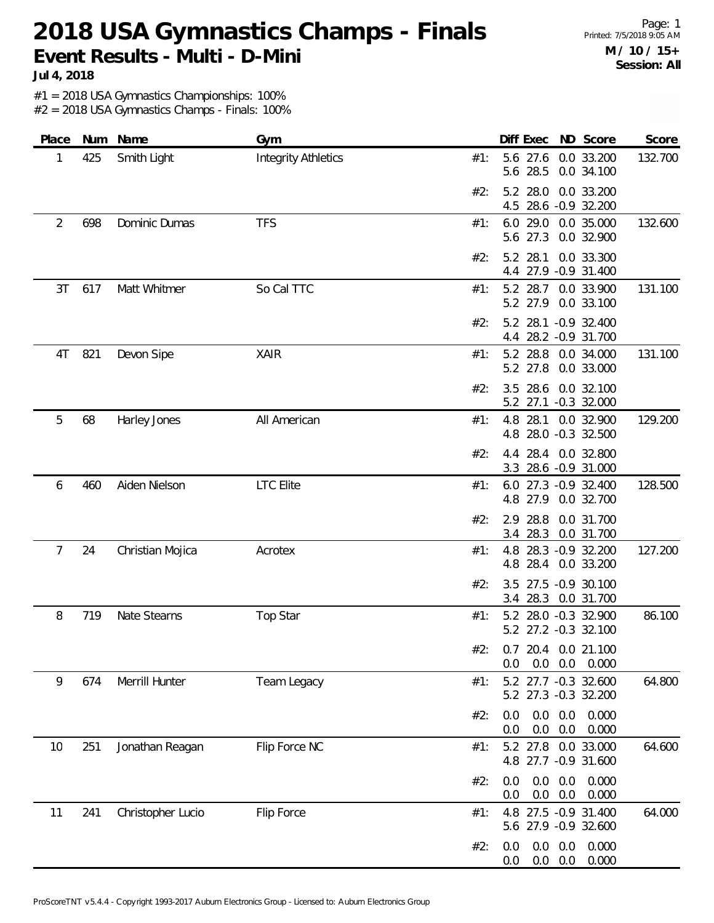Page: 1 Printed: 7/5/2018 9:05 AM **M / 10 / 15+ Session: All**

**Jul 4, 2018**

#1 = 2018 USA Gymnastics Championships: 100%

| Place | Num | Name              | Gym                        | Diff Exec ND Score<br>Score                                             |
|-------|-----|-------------------|----------------------------|-------------------------------------------------------------------------|
| 1     | 425 | Smith Light       | <b>Integrity Athletics</b> | 5.6 27.6<br>0.0 33.200<br>132.700<br>#1:<br>5.6 28.5<br>0.0 34.100      |
|       |     |                   |                            | 5.2 28.0<br>0.0 33.200<br>#2:<br>4.5<br>28.6 -0.9 32.200                |
| 2     | 698 | Dominic Dumas     | <b>TFS</b>                 | 29.0<br>0.0 35.000<br>6.0<br>132.600<br>#1:<br>5.6 27.3<br>0.0 32.900   |
|       |     |                   |                            | 28.1<br>0.0 33.300<br>#2:<br>5.2<br>4.4 27.9 -0.9 31.400                |
| 3T    | 617 | Matt Whitmer      | So Cal TTC                 | 5.2 28.7 0.0 33.900<br>131.100<br>#1:<br>5.2 27.9<br>0.0 33.100         |
|       |     |                   |                            | 28.1 - 0.9 32.400<br>5.2<br>#2:<br>28.2 -0.9 31.700<br>4.4              |
| 4T    | 821 | Devon Sipe        | <b>XAIR</b>                | 5.2 28.8<br>0.0 34.000<br>131.100<br>#1:<br>5.2 27.8 0.0 33.000         |
|       |     |                   |                            | 3.5 28.6 0.0 32.100<br>#2:<br>27.1 -0.3 32.000<br>5.2                   |
| 5     | 68  | Harley Jones      | All American               | 28.1 0.0 32.900<br>4.8<br>129.200<br>#1:<br>4.8 28.0 -0.3 32.500        |
|       |     |                   |                            | 28.4 0.0 32.800<br>#2:<br>4.4<br>3.3 28.6 -0.9 31.000                   |
| 6     | 460 | Aiden Nielson     | <b>LTC</b> Elite           | 128.500<br>6.0 27.3 -0.9 32.400<br>#1:<br>4.8 27.9 0.0 32.700           |
|       |     |                   |                            | 2.9 28.8<br>0.0 31.700<br>#2:<br>3.4 28.3<br>0.0 31.700                 |
| 7     | 24  | Christian Mojica  | Acrotex                    | 127.200<br>4.8 28.3 -0.9 32.200<br>#1:<br>4.8 28.4 0.0 33.200           |
|       |     |                   |                            | 27.5 -0.9 30.100<br>3.5<br>#2:<br>28.3 0.0 31.700<br>3.4                |
| 8     | 719 | Nate Stearns      | Top Star                   | 5.2 28.0 -0.3 32.900<br>86.100<br>#1:<br>5.2 27.2 -0.3 32.100           |
|       |     |                   |                            | #2: 0.7 20.4 0.0 21.100<br>0.000<br>0.0<br>0.0<br>0.0                   |
| 9     | 674 | Merrill Hunter    | Team Legacy                | 5.2 27.7 -0.3 32.600<br>64.800<br>#1:<br>5.2 27.3 -0.3 32.200           |
|       |     |                   |                            | $0.0\ 0.0$<br>0.0<br>0.000<br>#2:<br>0.0<br>0.0<br>0.000<br>0.0         |
| 10    | 251 | Jonathan Reagan   | Flip Force NC              | 5.2 27.8<br>0.0 33.000<br>64.600<br>#1:<br>4.8 27.7 -0.9 31.600         |
|       |     |                   |                            | $0.0\quad 0.0$<br>0.000<br>#2:<br>0.0<br>$0.0\quad 0.0$<br>0.000<br>0.0 |
| 11    | 241 | Christopher Lucio | Flip Force                 | 64.000<br>4.8 27.5 -0.9 31.400<br>#1:<br>5.6 27.9 -0.9 32.600           |
|       |     |                   |                            | 0.0<br>0.0<br>0.000<br>0.0<br>#2:<br>$0.0\ 0.0$<br>0.000<br>0.0         |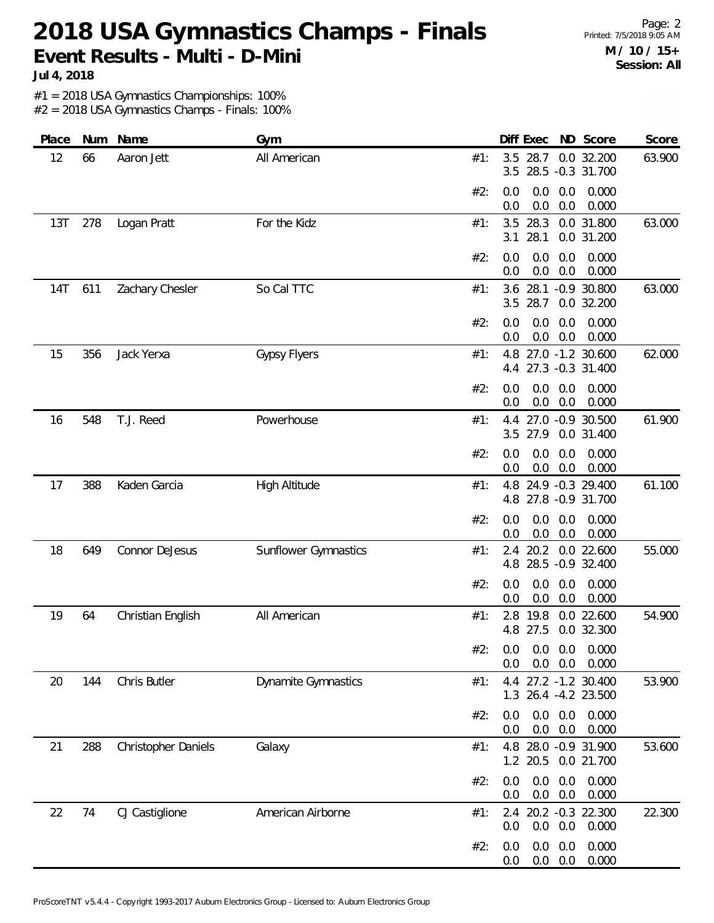Page: 2 Printed: 7/5/2018 9:05 AM **M / 10 / 15+ Session: All**

**Jul 4, 2018**

#1 = 2018 USA Gymnastics Championships: 100%

| Place | Num | Name                | Gym                         | Diff Exec ND Score<br>Score                                             |
|-------|-----|---------------------|-----------------------------|-------------------------------------------------------------------------|
| 12    | 66  | Aaron Jett          | All American                | 3.5 28.7<br>0.0 32.200<br>63.900<br>#1:<br>3.5 28.5 -0.3 31.700         |
|       |     |                     |                             | #2:<br>0.0<br>0.0<br>0.0<br>0.000<br>0.0<br>0.0<br>0.000<br>0.0         |
| 13T   | 278 | Logan Pratt         | For the Kidz                | 28.3<br>0.0 31.800<br>3.5<br>63.000<br>#1:<br>28.1<br>3.1<br>0.0 31.200 |
|       |     |                     |                             | 0.0<br>0.0<br>0.000<br>#2:<br>0.0<br>0.0<br>0.0<br>0.0<br>0.000         |
| 14T   | 611 | Zachary Chesler     | So Cal TTC                  | 63.000<br>3.6 28.1 -0.9 30.800<br>#1:<br>3.5<br>28.7<br>0.0 32.200      |
|       |     |                     |                             | 0.0<br>0.0<br>0.000<br>#2:<br>0.0<br>0.0<br>0.0<br>0.0<br>0.000         |
| 15    | 356 | Jack Yerxa          | <b>Gypsy Flyers</b>         | 62.000<br>27.0 -1.2 30.600<br>#1:<br>4.8<br>4.4 27.3 -0.3 31.400        |
|       |     |                     |                             | 0.000<br>#2:<br>0.0<br>0.0<br>0.0<br>0.0<br>0.0<br>0.000<br>0.0         |
| 16    | 548 | T.J. Reed           | Powerhouse                  | 27.0 -0.9 30.500<br>#1:<br>61.900<br>4.4<br>3.5 27.9<br>0.0 31.400      |
|       |     |                     |                             | 0.0<br>#2:<br>0.0<br>0.0<br>0.000<br>0.0<br>0.0<br>0.0<br>0.000         |
| 17    | 388 | Kaden Garcia        | High Altitude               | 61.100<br>4.8 24.9 -0.3 29.400<br>#1:<br>27.8 - 0.9 31.700<br>4.8       |
|       |     |                     |                             | 0.0<br>0.0<br>0.0<br>0.000<br>#2:<br>0.0<br>0.0<br>0.0<br>0.000         |
| 18    | 649 | Connor DeJesus      | <b>Sunflower Gymnastics</b> | 55.000<br>20.2 0.0 22.600<br>2.4<br>#1:<br>4.8 28.5 -0.9 32.400         |
|       |     |                     |                             | 0.0<br>0.000<br>#2:<br>0.0<br>0.0<br>0.0<br>0.0<br>0.000<br>0.0         |
| 19    | 64  | Christian English   | All American                | 19.8<br>0.0 22.600<br>#1:<br>2.8<br>54.900<br>4.8 27.5<br>0.0 32.300    |
|       |     |                     |                             | #2: 0.0 0.0 0.0 0.000<br>$0.0$ $0.0$ $0.000$<br>0.0                     |
| 20    | 144 | Chris Butler        | Dynamite Gymnastics         | 4.4 27.2 -1.2 30.400<br>53.900<br>#1:<br>1.3 26.4 -4.2 23.500           |
|       |     |                     |                             | $0.0$ $0.0$ $0.000$<br>#2:<br>0.0<br>0.0<br>0.0<br>0.000<br>0.0         |
| 21    | 288 | Christopher Daniels | Galaxy                      | 4.8 28.0 -0.9 31.900<br>53.600<br>#1:<br>1.2 20.5 0.0 21.700            |
|       |     |                     |                             | $0.0\quad 0.0$<br>0.0<br>0.000<br>#2:<br>$0.0\quad 0.0$<br>0.000<br>0.0 |
| 22    | 74  | CJ Castiglione      | American Airborne           | 22.300<br>2.4 20.2 -0.3 22.300<br>#1:<br>0.0<br>0.0<br>0.0<br>0.000     |
|       |     |                     |                             | 0.0<br>0.0<br>0.000<br>#2:<br>0.0<br>$0.0\quad 0.0$<br>0.000<br>0.0     |